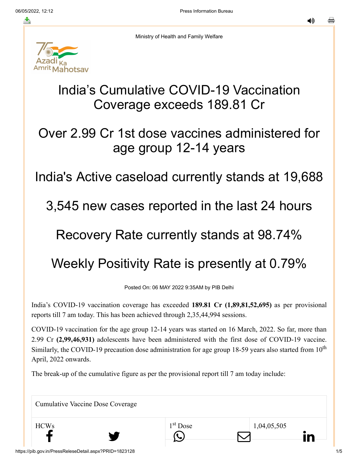≛

◀»



Ministry of Health and Family Welfare

# India's Cumulative COVID-19 Vaccination Coverage exceeds 189.81 Cr

## Over 2.99 Cr 1st dose vaccines administered for age group 12-14 years

## India's Active caseload currently stands at 19,688

#### 3,545 new cases reported in the last 24 hours

## Recovery Rate currently stands at 98.74%

# Weekly Positivity Rate is presently at 0.79%

Posted On: 06 MAY 2022 9:35AM by PIB Delhi

India's COVID-19 vaccination coverage has exceeded **189.81 Cr (1,89,81,52,695)** as per provisional reports till 7 am today. This has been achieved through 2,35,44,994 sessions.

COVID-19 vaccination for the age group 12-14 years was started on 16 March, 2022. So far, more than 2.99 Cr **(2,99,46,931)** adolescents have been administered with the first dose of COVID-19 vaccine. Similarly, the COVID-19 precaution dose administration for age group 18-59 years also started from  $10<sup>th</sup>$ April, 2022 onwards.

1<sup>st</sup> Dose

The break-up of the cumulative figure as per the provisional report till 7 am today include:

Cumulative Vaccine Dose Coverage

 $1<sup>st</sup>$  Dose 1,04,05,505  $f$  y  $\circ$   $\Box$  in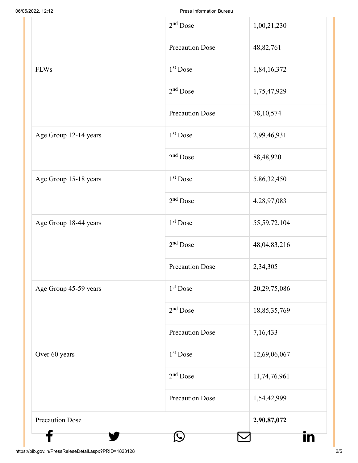|                        | $2nd$ Dose             | 1,00,21,230     |
|------------------------|------------------------|-----------------|
|                        | <b>Precaution Dose</b> | 48,82,761       |
| <b>FLWs</b>            | $1st$ Dose             | 1,84,16,372     |
|                        | $2nd$ Dose             | 1,75,47,929     |
|                        | <b>Precaution Dose</b> | 78, 10, 574     |
| Age Group 12-14 years  | 1 <sup>st</sup> Dose   | 2,99,46,931     |
|                        | $2nd$ Dose             | 88,48,920       |
| Age Group 15-18 years  | 1 <sup>st</sup> Dose   | 5,86,32,450     |
|                        | $2nd$ Dose             | 4,28,97,083     |
| Age Group 18-44 years  | 1 <sup>st</sup> Dose   | 55,59,72,104    |
|                        | $2nd$ Dose             | 48,04,83,216    |
|                        | <b>Precaution Dose</b> | 2,34,305        |
| Age Group 45-59 years  | 1 <sup>st</sup> Dose   | 20, 29, 75, 086 |
|                        | $2nd$ Dose             | 18,85,35,769    |
|                        | <b>Precaution Dose</b> | 7,16,433        |
| Over 60 years          | $1st$ Dose             | 12,69,06,067    |
|                        | $2nd$ Dose             | 11,74,76,961    |
|                        | <b>Precaution Dose</b> | 1,54,42,999     |
| <b>Precaution Dose</b> |                        | 2,90,87,072     |
|                        |                        |                 |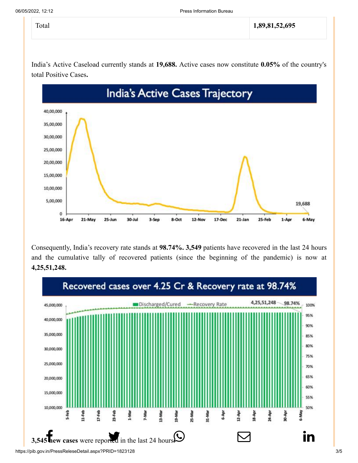India's Active Caseload currently stands at **19,688.** Active cases now constitute **0.05%** of the country's total Positive Cases**.**



Consequently, India's recovery rate stands at **98.74%. 3,549** patients have recovered in the last 24 hours and the cumulative tally of recovered patients (since the beginning of the pandemic) is now at **4,25,51,248.**

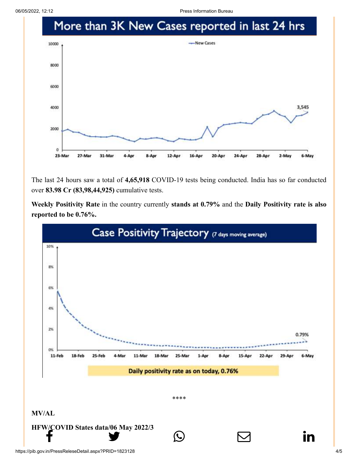06/05/2022, 12:12 Press Information Bureau



The last 24 hours saw a total of **4,65,918** COVID-19 tests being conducted. India has so far conducted over **83.98 Cr (83,98,44,925)** cumulative tests.

**Weekly Positivity Rate** in the country currently **stands at 0.79%** and the **Daily Positivity rate is also reported to be 0.76%.**